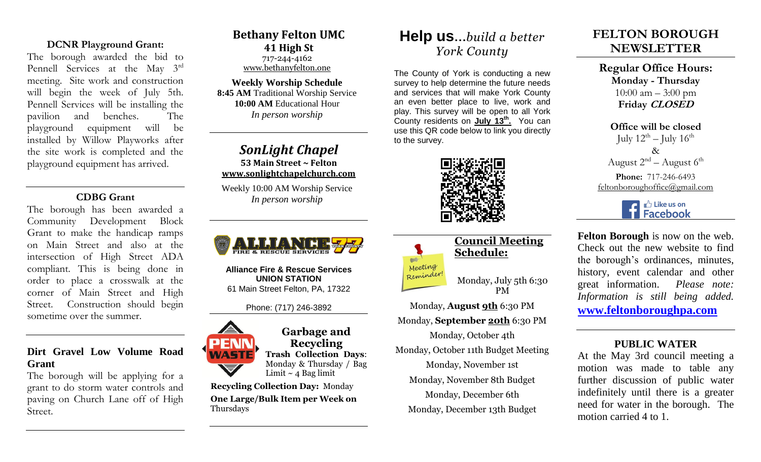### **DCNR Playground Grant:**

The borough awarded the bid to Pennell Services at the May 3rd meeting. Site work and construction will begin the week of July 5th. Pennell Services will be installing the pavilion and benches. The playground equipment will be installed by Willow Playworks after the site work is completed and the playground equipment has arrived.

# **CDBG Grant**

The borough has been awarded a Community Development Block Grant to make the handicap ramps on Main Street and also at the intersection of High Street ADA compliant. This is being done in order to place a crosswalk at the corner of Main Street and High Street. Construction should begin sometime over the summer.

## **Dirt Gravel Low Volume Road Grant**

The borough will be applying for a grant to do storm water controls and paving on Church Lane off of High Street.

### **Bethany Felton UMC 41 High St** 717-244-4162 [www.bethanyfelton.one](http://www.bethanyfelton.one/)

**Weekly Worship Schedule 8:45 AM** Traditional Worship Service **10:00 AM** Educational Hour *In person worship*

# *SonLight Chapel*  **53 Main Street ~ Felton [www.sonlightchapelchurch.com](http://www.sonlightchapelchurch.com/)**

Weekly 10:00 AM Worship Service *In person worship*



**Alliance Fire & Rescue Services UNION STATION** 61 Main Street Felton, PA, 17322

### Phone: (717) 246-3892



**Recycling Trash Collection Days**: Monday & Thursday / Bag Limit  $\sim$  4 Bag limit

**Garbage and** 

**Recycling Collection Day:** Monday **One Large/Bulk Item per Week on**  Thursdays

# **Help us…***build a better York County*

The County of York is conducting a new survey to help determine the future needs and services that will make York County an even better place to live, work and play. This survey will be open to all York County residents on **July 13th .** You can use this QR code below to link you directly to the survey.





Monday, **August 9th** 6:30 PM Monday, **September 20th** 6:30 PM Monday, October 4th Monday, October 11th Budget Meeting Monday, November 1st Monday, November 8th Budget Monday, December 6th

Monday, December 13th Budget

# **FELTON BOROUGH NEWSLETTER**

**Regular Office Hours: Monday - Thursday**  10:00 am  $-$  3:00 pm **Friday CLOSED**

**Office will be closed**  July  $12^{\text{th}} - \text{July } 16^{\text{th}}$ & August 2 $^{\rm nd}$  – August 6 $^{\rm th}$ **Phone:** 717-246-6493 feltonboroughoffice@gmail.com



**Felton Borough** is now on the web. Check out the new website to find the borough's ordinances, minutes, history, event calendar and other great information. *Please note: Information is still being added.* **[www.feltonboroughpa.com](http://www.feltonboroughpa.com/)**

# **PUBLIC WATER**

At the May 3rd council meeting a motion was made to table any further discussion of public water indefinitely until there is a greater need for water in the borough. The motion carried 4 to 1.